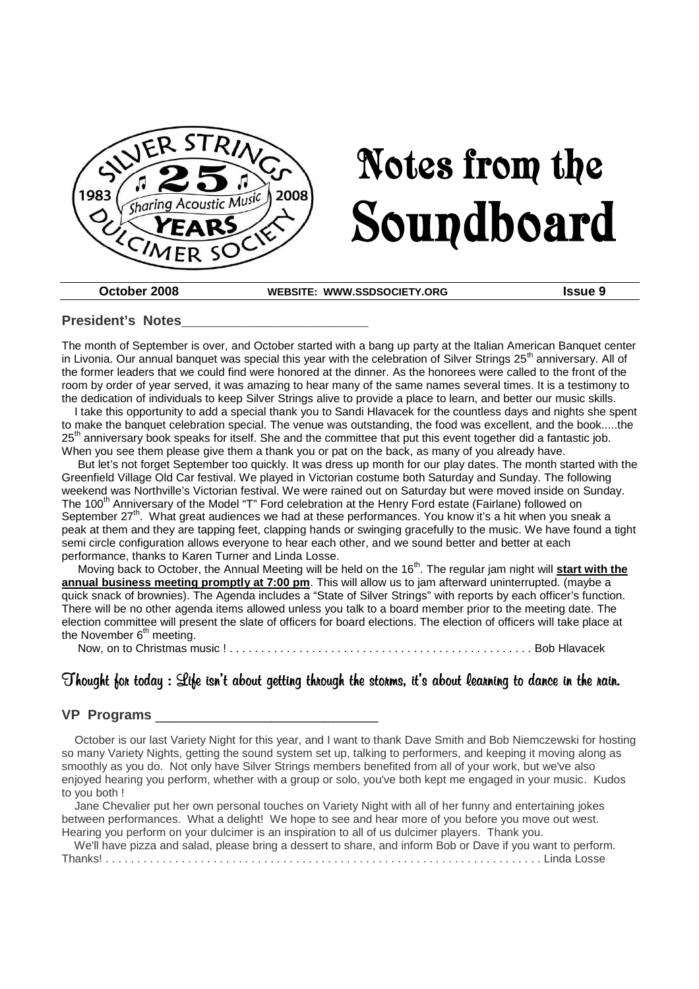

# Notes from the Soundboard

**October 2008 WEBSITE: WWW.SSDSOCIETY.ORG Issue 9**

#### **President's Notes\_\_\_\_\_\_\_\_\_\_\_\_\_\_\_\_\_\_\_\_\_**

The month of September is over, and October started with a bang up party at the Italian American Banquet center in Livonia. Our annual banquet was special this year with the celebration of Silver Strings  $25<sup>th</sup>$  anniversary. All of the former leaders that we could find were honored at the dinner. As the honorees were called to the front of the room by order of year served, it was amazing to hear many of the same names several times. It is a testimony to the dedication of individuals to keep Silver Strings alive to provide a place to learn, and better our music skills.

I take this opportunity to add a special thank you to Sandi Hlavacek for the countless days and nights she spent to make the banquet celebration special. The venue was outstanding, the food was excellent, and the book.....the  $25<sup>th</sup>$  anniversary book speaks for itself. She and the committee that put this event together did a fantastic job. When you see them please give them a thank you or pat on the back, as many of you already have.

But let's not forget September too quickly. It was dress up month for our play dates. The month started with the Greenfield Village Old Car festival. We played in Victorian costume both Saturday and Sunday. The following weekend was Northville's Victorian festival. We were rained out on Saturday but were moved inside on Sunday. The 100<sup>th</sup> Anniversary of the Model "T" Ford celebration at the Henry Ford estate (Fairlane) followed on September 27<sup>th</sup>. What great audiences we had at these performances. You know it's a hit when you sneak a peak at them and they are tapping feet, clapping hands or swinging gracefully to the music. We have found a tight semi circle configuration allows everyone to hear each other, and we sound better and better at each performance, thanks to Karen Turner and Linda Losse.

Moving back to October, the Annual Meeting will be held on the 16<sup>th</sup>. The regular jam night will **start with the annual business meeting promptly at 7:00 pm**. This will allow us to jam afterward uninterrupted. (maybe a quick snack of brownies). The Agenda includes a "State of Silver Strings" with reports by each officer's function. There will be no other agenda items allowed unless you talk to a board member prior to the meeting date. The election committee will present the slate of officers for board elections. The election of officers will take place at the November  $6^{\text{th}}$  meeting.

Now, on to Christmas music ! . . . . . . . . . . . . . . . . . . . . . . . . . . . . . . . . . . . . . . . . . . . . . . . . Bob Hlavacek

# Thought for today : Life isn't about getting through the storms, it's about learning to dance in the rain.

#### **VP Programs** \_\_\_\_\_\_\_\_\_\_\_\_\_\_\_\_\_\_\_\_\_\_\_\_\_

October is our last Variety Night for this year, and I want to thank Dave Smith and Bob Niemczewski for hosting so many Variety Nights, getting the sound system set up, talking to performers, and keeping it moving along as smoothly as you do. Not only have Silver Strings members benefited from all of your work, but we've also enjoyed hearing you perform, whether with a group or solo, you've both kept me engaged in your music. Kudos to you both !

Jane Chevalier put her own personal touches on Variety Night with all of her funny and entertaining jokes between performances. What a delight! We hope to see and hear more of you before you move out west. Hearing you perform on your dulcimer is an inspiration to all of us dulcimer players. Thank you.

We'll have pizza and salad, please bring a dessert to share, and inform Bob or Dave if you want to perform.

Thanks! . . . . . . . . . . . . . . . . . . . . . . . . . . . . . . . . . . . . . . . . . . . . . . . . . . . . . . . . . . . . . . . . . . . . . Linda Losse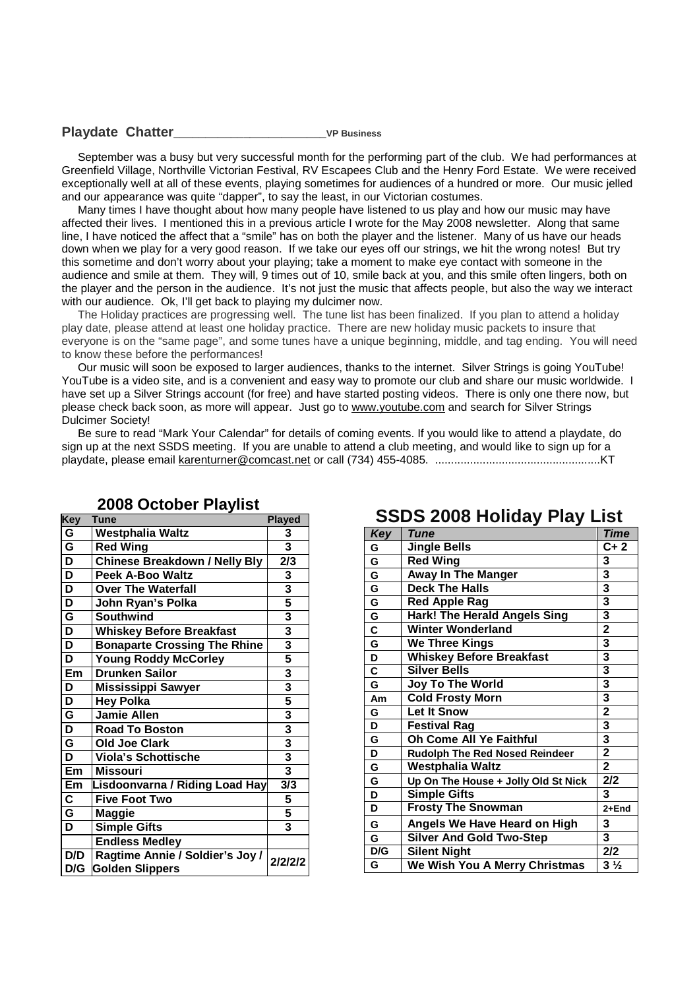#### **Playdate Chatter\_\_\_\_\_\_\_\_\_\_\_\_\_\_\_\_\_\_\_\_\_\_\_\_VP Business**

September was a busy but very successful month for the performing part of the club. We had performances at Greenfield Village, Northville Victorian Festival, RV Escapees Club and the Henry Ford Estate. We were received exceptionally well at all of these events, playing sometimes for audiences of a hundred or more. Our music jelled and our appearance was quite "dapper", to say the least, in our Victorian costumes.

Many times I have thought about how many people have listened to us play and how our music may have affected their lives. I mentioned this in a previous article I wrote for the May 2008 newsletter. Along that same line, I have noticed the affect that a "smile" has on both the player and the listener. Many of us have our heads down when we play for a very good reason. If we take our eyes off our strings, we hit the wrong notes! But try this sometime and don't worry about your playing; take a moment to make eye contact with someone in the audience and smile at them. They will, 9 times out of 10, smile back at you, and this smile often lingers, both on the player and the person in the audience. It's not just the music that affects people, but also the way we interact with our audience. Ok, I'll get back to playing my dulcimer now.

The Holiday practices are progressing well. The tune list has been finalized. If you plan to attend a holiday play date, please attend at least one holiday practice. There are new holiday music packets to insure that everyone is on the "same page", and some tunes have a unique beginning, middle, and tag ending. You will need to know these before the performances!

Our music will soon be exposed to larger audiences, thanks to the internet. Silver Strings is going YouTube! YouTube is a video site, and is a convenient and easy way to promote our club and share our music worldwide. I have set up a Silver Strings account (for free) and have started posting videos. There is only one there now, but please check back soon, as more will appear. Just go to www.youtube.com and search for Silver Strings Dulcimer Society!

Be sure to read "Mark Your Calendar" for details of coming events. If you would like to attend a playdate, do sign up at the next SSDS meeting. If you are unable to attend a club meeting, and would like to sign up for a playdate, please email karenturner@comcast.net or call (734) 455-4085. ....................................................KT

| <b>Key</b>              | Tune                                                      | <b>Played</b>           |
|-------------------------|-----------------------------------------------------------|-------------------------|
| G                       | <b>Westphalia Waltz</b>                                   | 3                       |
| G                       | <b>Red Wing</b>                                           | $\overline{\mathbf{3}}$ |
| $\overline{\mathsf{D}}$ | <b>Chinese Breakdown / Nelly Bly</b>                      | 2/3                     |
| $\overline{\mathsf{D}}$ | <b>Peek A-Boo Waltz</b>                                   | 3                       |
| $\overline{\mathsf{D}}$ | <b>Over The Waterfall</b>                                 | 3                       |
| $\overline{\mathsf{D}}$ | John Ryan's Polka                                         | 5                       |
| $\overline{\mathsf{G}}$ | <b>Southwind</b>                                          | 3                       |
| $\overline{\mathsf{D}}$ | <b>Whiskey Before Breakfast</b>                           | $\overline{\mathbf{3}}$ |
| $\overline{\mathsf{D}}$ | <b>Bonaparte Crossing The Rhine</b>                       | $\overline{\mathbf{3}}$ |
| $\overline{\mathsf{D}}$ | <b>Young Roddy McCorley</b>                               | 5                       |
| Em                      | <b>Drunken Sailor</b>                                     | $\frac{3}{3}$           |
| D                       | <b>Mississippi Sawyer</b>                                 |                         |
| D                       | <b>Hey Polka</b>                                          | 5                       |
| $\overline{\mathsf{G}}$ | <b>Jamie Allen</b>                                        | 3                       |
| $\overline{\mathsf{D}}$ | <b>Road To Boston</b>                                     | $\overline{\mathbf{3}}$ |
| $\overline{\mathsf{G}}$ | Old Joe Clark                                             | 3                       |
| D                       | <b>Viola's Schottische</b>                                | $\overline{\mathbf{3}}$ |
| Em                      | <b>Missouri</b>                                           | $\overline{\mathbf{3}}$ |
| Em                      | Lisdoonvarna / Riding Load Hay                            | 3/3                     |
| $\overline{\mathbf{C}}$ | <b>Five Foot Two</b>                                      | 5                       |
| G                       | Maggie                                                    | 5                       |
| $\overline{\mathsf{D}}$ | <b>Simple Gifts</b>                                       | $\overline{\mathbf{3}}$ |
|                         | <b>Endless Medley</b>                                     |                         |
| D/D<br>D/G              | Ragtime Annie / Soldier's Joy /<br><b>Golden Slippers</b> | 2/2/2/2                 |

#### **2008 October Playlist**

# $T$ *une* **G Jingle Bells C+ 2**

**SSDS 2008 Holiday Play List**

| ັ   |                                       |                         |
|-----|---------------------------------------|-------------------------|
| G   | <b>Red Wing</b>                       | 3                       |
| G   | <b>Away In The Manger</b>             | 3                       |
| G   | <b>Deck The Halls</b>                 | 3                       |
| G   | <b>Red Apple Rag</b>                  | 3                       |
| G   | <b>Hark! The Herald Angels Sing</b>   | 3                       |
| C   | <b>Winter Wonderland</b>              | $\overline{\mathbf{2}}$ |
| G   | <b>We Three Kings</b>                 | 3                       |
| D   | <b>Whiskey Before Breakfast</b>       | 3                       |
| C   | <b>Silver Bells</b>                   | 3                       |
| G   | Joy To The World                      | 3                       |
| Am  | <b>Cold Frosty Morn</b>               | 3                       |
| G   | <b>Let It Snow</b>                    | $\overline{2}$          |
| D   | <b>Festival Rag</b>                   | 3                       |
| G   | Oh Come All Ye Faithful               | 3                       |
| D   | <b>Rudolph The Red Nosed Reindeer</b> | $\overline{\mathbf{2}}$ |
| G   | <b>Westphalia Waltz</b>               | $\overline{2}$          |
| G   | Up On The House + Jolly Old St Nick   | 2/2                     |
| D   | <b>Simple Gifts</b>                   | 3                       |
| D   | <b>Frosty The Snowman</b>             | 2+End                   |
| G   | Angels We Have Heard on High          | 3                       |
| G   | <b>Silver And Gold Two-Step</b>       | 3                       |
| D/G | <b>Silent Night</b>                   | 2/2                     |
| G   | We Wish You A Merry Christmas         | $3\frac{1}{2}$          |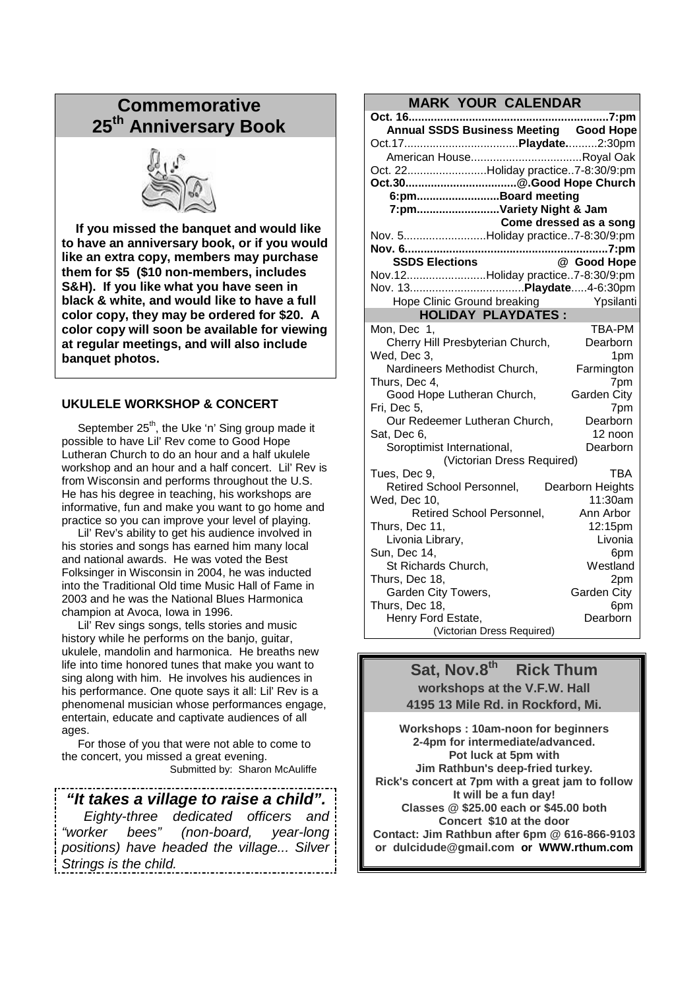# **Commemorative 25th Anniversary Book**



**If you missed the banquet and would like to have an anniversary book, or if you would like an extra copy, members may purchase them for \$5 (\$10 non-members, includes S&H). If you like what you have seen in black & white, and would like to have a full color copy, they may be ordered for \$20. A color copy will soon be available for viewing at regular meetings, and will also include banquet photos.**

#### **UKULELE WORKSHOP & CONCERT**

September 25<sup>th</sup>, the Uke 'n' Sing group made it possible to have Lil' Rev come to Good Hope Lutheran Church to do an hour and a half ukulele workshop and an hour and a half concert. Lil' Rev is from Wisconsin and performs throughout the U.S. He has his degree in teaching, his workshops are informative, fun and make you want to go home and practice so you can improve your level of playing.

Lil' Rev's ability to get his audience involved in his stories and songs has earned him many local and national awards. He was voted the Best Folksinger in Wisconsin in 2004, he was inducted into the Traditional Old time Music Hall of Fame in 2003 and he was the National Blues Harmonica champion at Avoca, Iowa in 1996.

Lil' Rev sings songs, tells stories and music history while he performs on the banjo, guitar, ukulele, mandolin and harmonica. He breaths new life into time honored tunes that make you want to sing along with him. He involves his audiences in his performance. One quote says it all: Lil' Rev is a phenomenal musician whose performances engage, entertain, educate and captivate audiences of all ages.

For those of you that were not able to come to the concert, you missed a great evening. Submitted by: Sharon McAuliffe

*"It takes a village to raise a child".*

*Eighty-three dedicated officers and "worker bees" (non-board, year-long positions) have headed the village... Silver Strings is the child.*

# **MARK YOUR CALENDAR**

| MANN TUUN UALENDAN                         |             |  |  |  |  |
|--------------------------------------------|-------------|--|--|--|--|
| Oct. 16<br>                                | 7:pm        |  |  |  |  |
| Annual SSDS Business Meeting Good Hope     |             |  |  |  |  |
|                                            |             |  |  |  |  |
|                                            |             |  |  |  |  |
| Oct. 22Holiday practice7-8:30/9:pm         |             |  |  |  |  |
|                                            |             |  |  |  |  |
| 6:pmBoard meeting                          |             |  |  |  |  |
| 7:pmVariety Night & Jam                    |             |  |  |  |  |
| Come dressed as a song                     |             |  |  |  |  |
| Nov. 5Holiday practice7-8:30/9:pm          |             |  |  |  |  |
|                                            |             |  |  |  |  |
| <b>SSDS Elections</b>                      | @ Good Hope |  |  |  |  |
| Nov.12Holiday practice7-8:30/9:pm          |             |  |  |  |  |
|                                            |             |  |  |  |  |
| Hope Clinic Ground breaking                | Ypsilanti   |  |  |  |  |
| <b>HOLIDAY PLAYDATES:</b>                  |             |  |  |  |  |
| Mon, Dec 1,                                | TBA-PM      |  |  |  |  |
| Cherry Hill Presbyterian Church,           | Dearborn    |  |  |  |  |
| Wed, Dec 3,                                | 1pm         |  |  |  |  |
| Nardineers Methodist Church,               | Farmington  |  |  |  |  |
| Thurs, Dec 4,<br>7pm                       |             |  |  |  |  |
| Good Hope Lutheran Church,<br>Garden City  |             |  |  |  |  |
| Fri, Dec 5,                                | 7pm         |  |  |  |  |
| Our Redeemer Lutheran Church,              | Dearborn    |  |  |  |  |
| Sat, Dec 6,                                | 12 noon     |  |  |  |  |
| Soroptimist International,                 | Dearborn    |  |  |  |  |
| (Victorian Dress Required)                 |             |  |  |  |  |
| Tues, Dec 9,                               | <b>TBA</b>  |  |  |  |  |
| Retired School Personnel, Dearborn Heights |             |  |  |  |  |
| Wed, Dec 10,                               | 11:30am     |  |  |  |  |
| Retired School Personnel,                  | Ann Arbor   |  |  |  |  |
| Thurs, Dec 11,                             | 12:15pm     |  |  |  |  |
| Livonia Library,                           | Livonia     |  |  |  |  |
| Sun, Dec 14,                               | 6pm         |  |  |  |  |
| St Richards Church,                        | Westland    |  |  |  |  |
| Thurs, Dec 18,                             | 2pm         |  |  |  |  |
| Garden City Towers,                        | Garden City |  |  |  |  |
| Thurs, Dec 18,                             | 6pm         |  |  |  |  |
| Henry Ford Estate,                         | Dearborn    |  |  |  |  |
| (Victorian Dress Required)                 |             |  |  |  |  |

# **Sat, Nov.8th Rick Thum workshops at the V.F.W. Hall 4195 13 Mile Rd. in Rockford, Mi.**

**Workshops : 10am-noon for beginners 2-4pm for intermediate/advanced. Pot luck at 5pm with Jim Rathbun's deep-fried turkey. Rick's concert at 7pm with a great jam to follow It will be a fun day! Classes @ \$25.00 each or \$45.00 both Concert \$10 at the door Contact: Jim Rathbun after 6pm @ 616-866-9103 or dulcidude@gmail.com or WWW.rthum.com**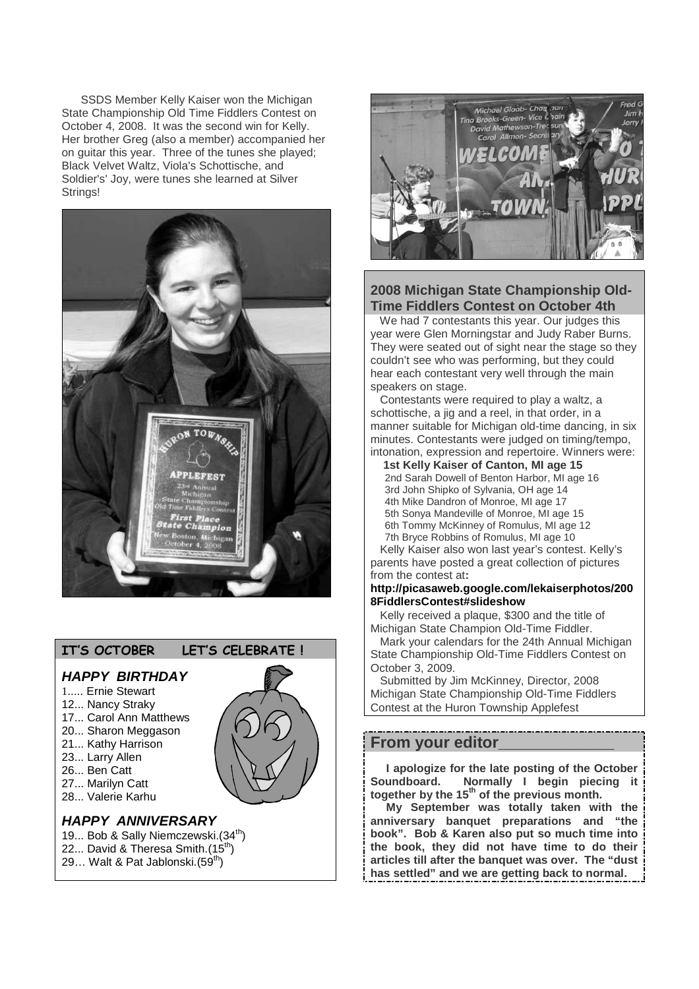SSDS Member Kelly Kaiser won the Michigan State Championship Old Time Fiddlers Contest on October 4, 2008. It was the second win for Kelly. Her brother Greg (also a member) accompanied her on guitar this year. Three of the tunes she played; Black Velvet Waltz, Viola's Schottische, and Soldier's' Joy, were tunes she learned at Silver Strings!



# **IT'S OCTOBER LET'S CELEBRATE !**

#### *HAPPY BIRTHDAY*

- 1..... Ernie Stewart
- 12... Nancy Straky
- 17... Carol Ann Matthews
- 20... Sharon Meggason 21... Kathy Harrison
- 23... Larry Allen
- 26... Ben Catt
- 27... Marilyn Catt
- 28... Valerie Karhu
- 

# *HAPPY ANNIVERSARY*

- 19... Bob & Sally Niemczewski. (34<sup>th</sup>) 22... David & Theresa Smith. $(15^{th})$
- 29... Walt & Pat Jablonski.(59<sup>th</sup>)



# **2008 Michigan State Championship Old-Time Fiddlers Contest on October 4th**

We had 7 contestants this year. Our judges this year were Glen Morningstar and Judy Raber Burns. They were seated out of sight near the stage so they couldn't see who was performing, but they could hear each contestant very well through the main speakers on stage.

Contestants were required to play a waltz, a schottische, a jig and a reel, in that order, in a manner suitable for Michigan old-time dancing, in six minutes. Contestants were judged on timing/tempo, intonation, expression and repertoire. Winners were:

**1st Kelly Kaiser of Canton, MI age 15** 2nd Sarah Dowell of Benton Harbor, MI age 16 3rd John Shipko of Sylvania, OH age 14 4th Mike Dandron of Monroe, MI age 17 5th Sonya Mandeville of Monroe, MI age 15 6th Tommy McKinney of Romulus, MI age 12 7th Bryce Robbins of Romulus, MI age 10

Kelly Kaiser also won last year's contest. Kelly's parents have posted a great collection of pictures from the contest at**:**

#### **http://picasaweb.google.com/lekaiserphotos/200 8FiddlersContest#slideshow**

Kelly received a plaque, \$300 and the title of Michigan State Champion Old-Time Fiddler.

Mark your calendars for the 24th Annual Michigan State Championship Old-Time Fiddlers Contest on October 3, 2009.

Submitted by Jim McKinney, Director, 2008 Michigan State Championship Old-Time Fiddlers Contest at the Huron Township Applefest

# **From your editor\_\_\_\_\_\_\_\_\_\_\_\_\_**

**I apologize for the late posting of the October Soundboard. Normally I begin piecing it together by the 15th of the previous month.**

**My September was totally taken with the anniversary banquet preparations and "the book". Bob & Karen also put so much time into the book, they did not have time to do their articles till after the banquet was over. The "dust has settled" and we are getting back to normal.**

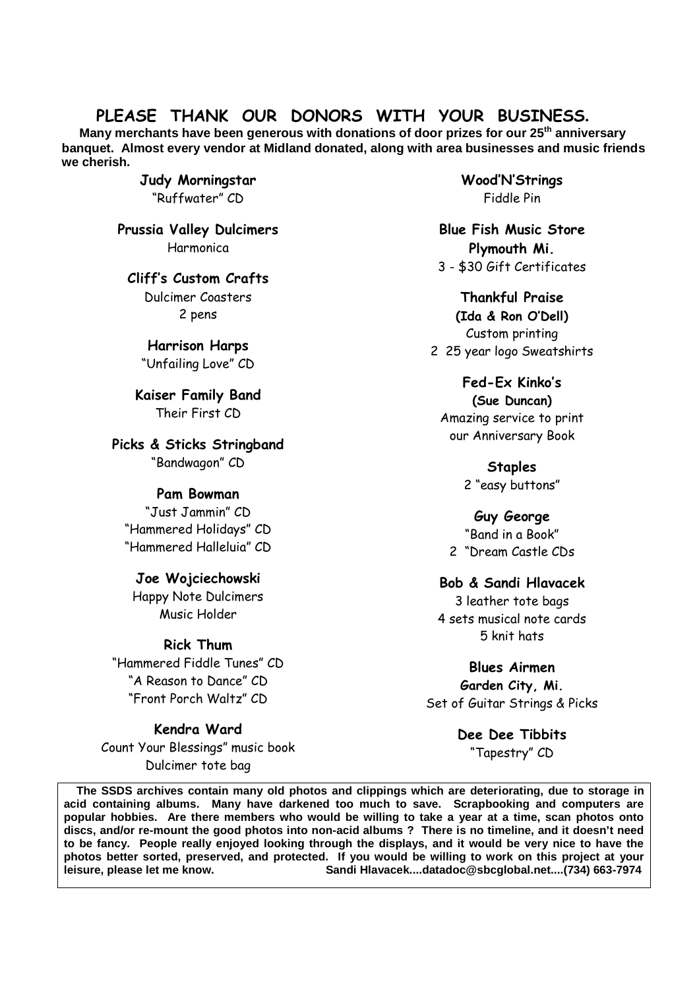# **PLEASE THANK OUR DONORS WITH YOUR BUSINESS.**

**Many merchants have been generous with donations of door prizes for our 25th anniversary banquet. Almost every vendor at Midland donated, along with area businesses and music friends we cherish.**

> **Judy Morningstar** "Ruffwater" CD

**Prussia Valley Dulcimers** Harmonica

**Cliff's Custom Crafts** Dulcimer Coasters 2 pens

**Harrison Harps** "Unfailing Love" CD

**Kaiser Family Band** Their First CD

**Picks & Sticks Stringband** "Bandwagon" CD

# **Pam Bowman**

"Just Jammin" CD "Hammered Holidays" CD "Hammered Halleluia" CD

# **Joe Wojciechowski**

Happy Note Dulcimers Music Holder

# **Rick Thum**

"Hammered Fiddle Tunes" CD "A Reason to Dance" CD "Front Porch Waltz" CD

# **Kendra Ward**

Count Your Blessings" music book Dulcimer tote bag

**Wood'N'Strings** Fiddle Pin

**Blue Fish Music Store Plymouth Mi.** 3 - \$30 Gift Certificates

**Thankful Praise (Ida & Ron O'Dell)** Custom printing 2 25 year logo Sweatshirts

**Fed-Ex Kinko's (Sue Duncan)** Amazing service to print

our Anniversary Book

**Staples** 2 "easy buttons"

**Guy George** "Band in a Book" 2 "Dream Castle CDs

# **Bob & Sandi Hlavacek**

3 leather tote bags 4 sets musical note cards 5 knit hats

**Blues Airmen**

**Garden City, Mi.** Set of Guitar Strings & Picks

> **Dee Dee Tibbits** "Tapestry" CD

**The SSDS archives contain many old photos and clippings which are deteriorating, due to storage in acid containing albums. Many have darkened too much to save. Scrapbooking and computers are popular hobbies. Are there members who would be willing to take a year at a time, scan photos onto discs, and/or re-mount the good photos into non-acid albums ? There is no timeline, and it doesn't need to be fancy. People really enjoyed looking through the displays, and it would be very nice to have the photos better sorted, preserved, and protected. If you would be willing to work on this project at your leisure, please let me know. Sandi Hlavacek....datadoc@sbcglobal.net....(734) 663-7974**